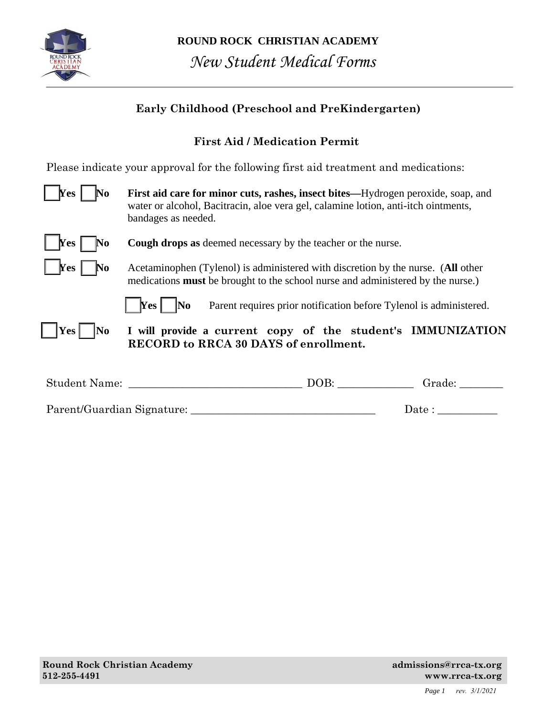

| <b>Early Childhood (Preschool and PreKindergarten)</b> |                                                                                                                                                                                               |  |  |  |  |
|--------------------------------------------------------|-----------------------------------------------------------------------------------------------------------------------------------------------------------------------------------------------|--|--|--|--|
|                                                        | <b>First Aid / Medication Permit</b>                                                                                                                                                          |  |  |  |  |
|                                                        | Please indicate your approval for the following first aid treatment and medications:                                                                                                          |  |  |  |  |
| $\gamma$ res<br>No                                     | First aid care for minor cuts, rashes, insect bites—Hydrogen peroxide, soap, and<br>water or alcohol, Bacitracin, aloe vera gel, calamine lotion, anti-itch ointments,<br>bandages as needed. |  |  |  |  |
| $\parallel$ Yes<br>No                                  | <b>Cough drops as deemed necessary by the teacher or the nurse.</b>                                                                                                                           |  |  |  |  |
| <b>Yes</b>  <br>$\mathbf{N}\mathbf{o}$                 | Acetaminophen (Tylenol) is administered with discretion by the nurse. (All other<br>medications <b>must</b> be brought to the school nurse and administered by the nurse.)                    |  |  |  |  |
|                                                        | No<br>$\gamma$ res<br>Parent requires prior notification before Tylenol is administered.                                                                                                      |  |  |  |  |
| Yes  <br> No                                           | I will provide a current copy of the student's IMMUNIZATION<br><b>RECORD to RRCA 30 DAYS of enrollment.</b>                                                                                   |  |  |  |  |
| Student Name:                                          | DOB:<br>Grade:                                                                                                                                                                                |  |  |  |  |
|                                                        | Date :                                                                                                                                                                                        |  |  |  |  |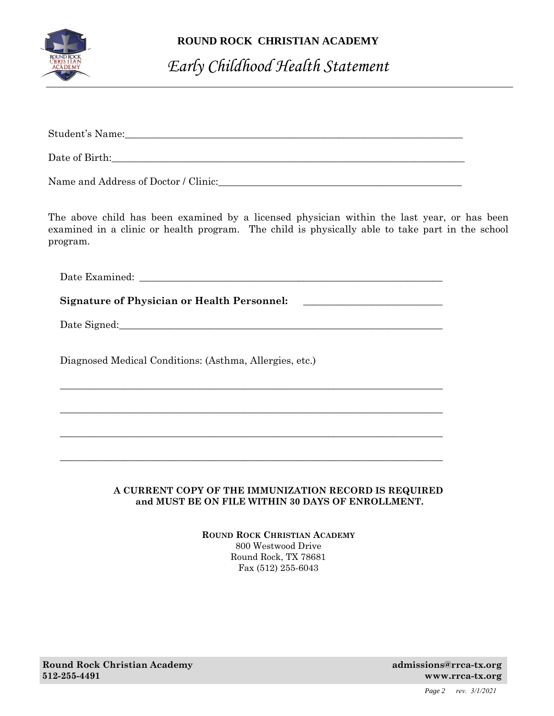

### **ROUND ROCK CHRISTIAN ACADEMY**

# *Early Childhood Health Statement*

| The above child has been examined by a licensed physician within the last year, or has been<br>examined in a clinic or health program. The child is physically able to take part in the school<br>program. |  |
|------------------------------------------------------------------------------------------------------------------------------------------------------------------------------------------------------------|--|
|                                                                                                                                                                                                            |  |
| Signature of Physician or Health Personnel: _________________________                                                                                                                                      |  |
|                                                                                                                                                                                                            |  |
| Diagnosed Medical Conditions: (Asthma, Allergies, etc.)                                                                                                                                                    |  |
| ,我们也不能在这里的时候,我们也不能在这里的时候,我们也不能在这里的时候,我们也不能会在这里的时候,我们也不能会在这里的时候,我们也不能会在这里的时候,我们也不                                                                                                                           |  |
|                                                                                                                                                                                                            |  |
|                                                                                                                                                                                                            |  |
|                                                                                                                                                                                                            |  |

#### **A CURRENT COPY OF THE IMMUNIZATION RECORD IS REQUIRED and MUST BE ON FILE WITHIN 30 DAYS OF ENROLLMENT.**

**ROUND ROCK CHRISTIAN ACADEMY** 800 Westwood Drive Round Rock, TX 78681 Fax (512) 255-6043

**Round Rock Christian Academy admissions@rrca-tx.org 3.1 Academy admissions@rrca-tx.org 512-255-4491 www.rrca-tx.org** 

*Page 2 rev. 3/1/2021*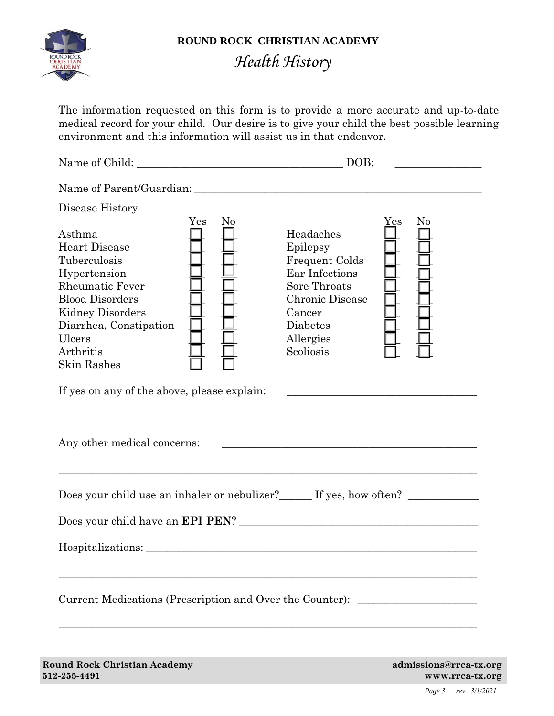

## *Health History*

The information requested on this form is to provide a more accurate and up-to-date medical record for your child. Our desire is to give your child the best possible learning environment and this information will assist us in that endeavor.

Name of Child: \_\_\_\_\_\_\_\_\_\_\_\_\_\_\_\_\_\_\_\_\_\_\_\_\_\_\_\_\_\_\_\_\_\_\_\_\_\_ DOB: \_\_\_\_\_\_\_\_\_\_\_\_\_\_\_\_ Name of Parent/Guardian: \_\_\_\_\_\_\_\_\_\_\_\_\_\_\_\_\_\_\_\_\_\_\_\_\_\_\_\_\_\_\_\_\_\_\_\_\_\_\_\_\_\_\_\_\_\_\_\_\_\_\_\_\_ Disease History Yes No Yes No Asthma  $\Box$  Headaches Heart Disease  $\Box$   $\Box$  Epilepsy Tuberculosis  $\Box$   $\Box$  Frequent Colds Hypertension  $\Box$   $\Box$  Ear Infections Rheumatic Fever  $\Box$   $\Box$  Sore Throats Blood Disorders \_\_\_ \_\_\_ Chronic Disease \_\_\_ \_\_\_ Kidney Disorders  $\Box$   $\Box$  Cancer Diarrhea, Constipation  $\Box$   $\Box$  Diabetes Ulcers  $\Box$   $\Box$  Allergies Arthritis  $\Box$  Scoliosis  $\Box$ Skin Rashes If yes on any of the above, please explain: \_\_\_\_\_\_\_\_\_\_\_\_\_\_\_\_\_\_\_\_\_\_\_\_\_\_\_\_\_\_\_\_\_\_\_\_\_\_\_\_\_\_\_\_\_\_\_\_\_\_\_\_\_\_\_\_\_\_\_\_\_\_\_\_\_\_\_\_\_\_\_\_\_\_\_\_\_ Any other medical concerns: \_\_\_\_\_\_\_\_\_\_\_\_\_\_\_\_\_\_\_\_\_\_\_\_\_\_\_\_\_\_\_\_\_\_\_\_\_\_\_\_\_\_\_\_\_\_\_\_\_\_\_\_\_\_\_\_\_\_\_\_\_\_\_\_\_\_\_\_\_\_\_\_\_\_\_\_\_ Does your child use an inhaler or nebulizer?\_\_\_\_\_\_ If yes, how often? \_\_\_\_\_\_\_\_\_\_ Does your child have an **EPI PEN**? \_\_\_\_\_\_\_\_\_\_\_\_\_\_\_\_\_\_\_\_\_\_\_\_\_\_\_\_\_\_\_\_\_\_\_\_\_\_\_\_\_\_\_\_ Hospitalizations: \_\_\_\_\_\_\_\_\_\_\_\_\_\_\_\_\_\_\_\_\_\_\_\_\_\_\_\_\_\_\_\_\_\_\_\_\_\_\_\_\_\_\_\_\_\_\_\_\_\_\_\_\_\_\_\_\_\_\_\_\_\_\_\_\_\_\_\_\_\_\_\_\_\_\_\_\_ Current Medications (Prescription and Over the Counter): \_\_\_\_\_\_\_\_\_\_\_\_\_\_\_\_\_\_\_\_\_\_\_\_\_\_\_\_\_\_\_\_\_\_\_\_\_\_\_\_\_\_\_\_\_\_\_\_\_\_\_\_\_\_\_\_\_\_\_\_\_\_\_\_\_\_\_\_\_\_\_\_\_\_\_\_\_